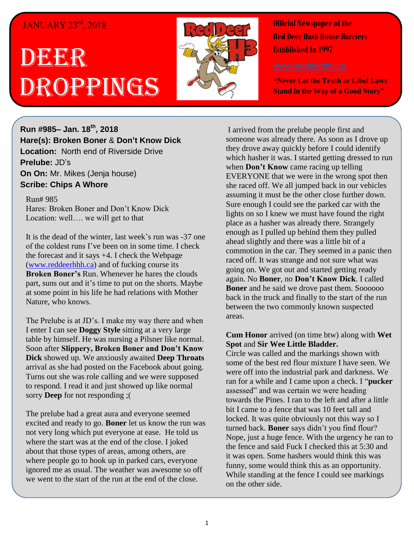## JANUARY 23rd, 2018

## DEER Droppings



**Official Newspaper of the Red Deer Hash House Harriers Established In 1997** 

**"Never Let the Truth or Libel Laws Stand in the Way of a Good Story"**

**Run #985– Jan. 18 th, 2018 Hare(s): Broken Boner** & **Don't Know Dick Location:** North end of Riverside Drive **Prelube:** JD's **On On:** Mr. Mikes (Jenja house) **Scribe: Chips A Whore**

## Run# 985

Hares: Broken Boner and Don't Know Dick Location: well…. we will get to that

It is the dead of the winter, last week's run was -37 one of the coldest runs I've been on in some time. I check the forecast and it says +4. I check the Webpage [\(www.reddeerhhh.ca\)](http://www.reddeerhhh.ca/) and of fucking course its **Broken Boner's** Run. Whenever he hares the clouds part, suns out and it's time to put on the shorts. Maybe at some point in his life he had relations with Mother Nature, who knows.

The Prelube is at JD's. I make my way there and when I enter I can see **Doggy Style** sitting at a very large table by himself. He was nursing a Pilsner like normal. Soon after **Slippery, Broken Boner and Don't Know Dick** showed up. We anxiously awaited **Deep Throats** arrival as she had posted on the Facebook about going. Turns out she was role calling and we were supposed to respond. I read it and just showed up like normal sorry **Deep** for not responding ;(

The prelube had a great aura and everyone seemed excited and ready to go. **Boner** let us know the run was not very long which put everyone at ease. He told us where the start was at the end of the close. I joked about that those types of areas, among others, are where people go to hook up in parked cars, everyone ignored me as usual. The weather was awesome so off we went to the start of the run at the end of the close.

I arrived from the prelube people first and someone was already there. As soon as I drove up they drove away quickly before I could identify which hasher it was. I started getting dressed to run when **Don't Know** came racing up telling EVERYONE that we were in the wrong spot then she raced off. We all jumped back in our vehicles assuming it must be the other close further down. Sure enough I could see the parked car with the lights on so I knew we must have found the right place as a hasher was already there. Strangely enough as I pulled up behind them they pulled ahead slightly and there was a little bit of a commotion in the car. They seemed in a panic then raced off. It was strange and not sure what was going on. We got out and started getting ready again. No **Boner**, no **Don't Know Dick**. I called **Boner** and he said we drove past them. Soooooo back in the truck and finally to the start of the run between the two commonly known suspected areas.

**Cum Honor** arrived (on time btw) along with **Wet Spot** and **Sir Wee Little Bladder.** Circle was called and the markings shown with some of the best red flour mixture I have seen. We were off into the industrial park and darkness. We ran for a while and I came upon a check. I "**pucker** assessed" and was certain we were heading towards the Pines. I ran to the left and after a little bit I came to a fence that was 10 feet tall and locked. It was quite obviously not this way so I turned back. **Boner** says didn't you find flour? Nope, just a huge fence. With the urgency he ran to the fence and said Fuck I checked this at 5:30 and it was open. Some hashers would think this was funny, some would think this as an opportunity. While standing at the fence I could see markings on the other side.